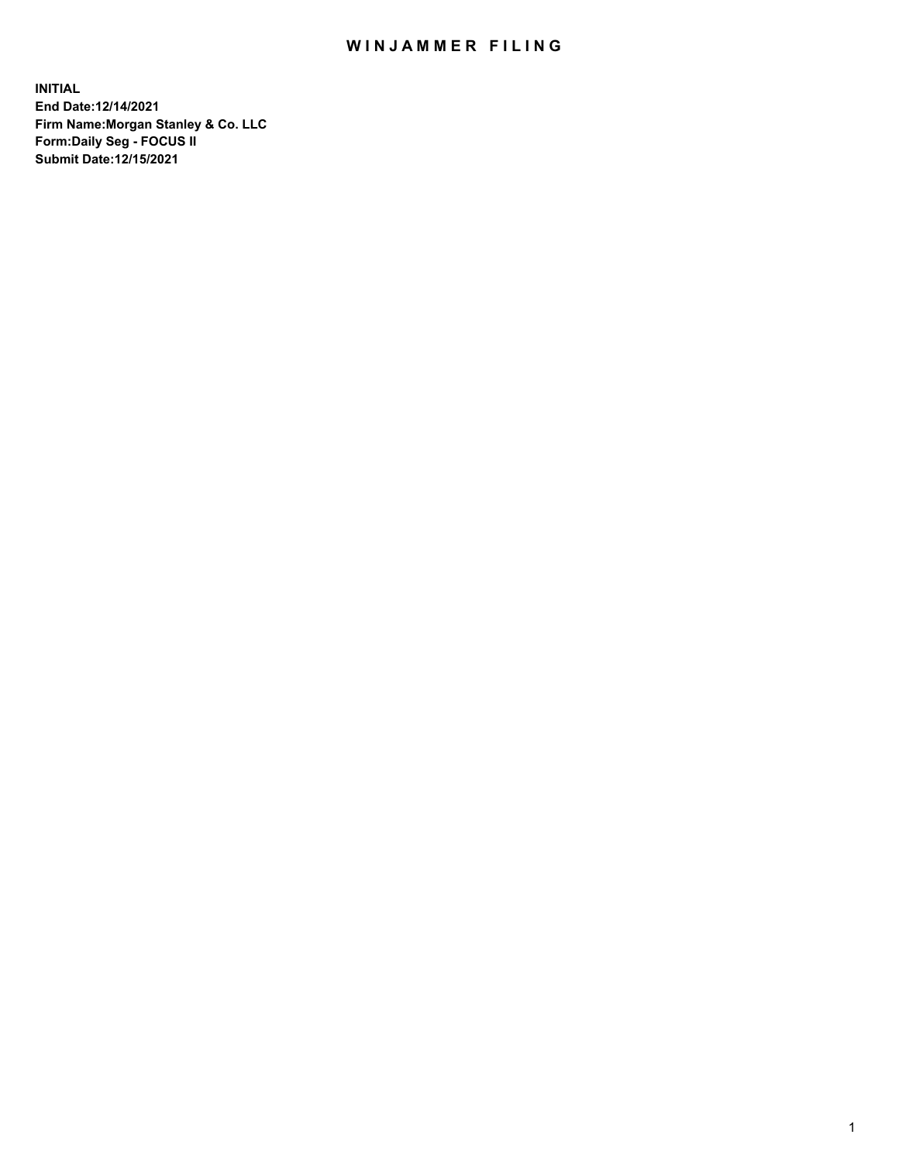## WIN JAMMER FILING

**INITIAL End Date:12/14/2021 Firm Name:Morgan Stanley & Co. LLC Form:Daily Seg - FOCUS II Submit Date:12/15/2021**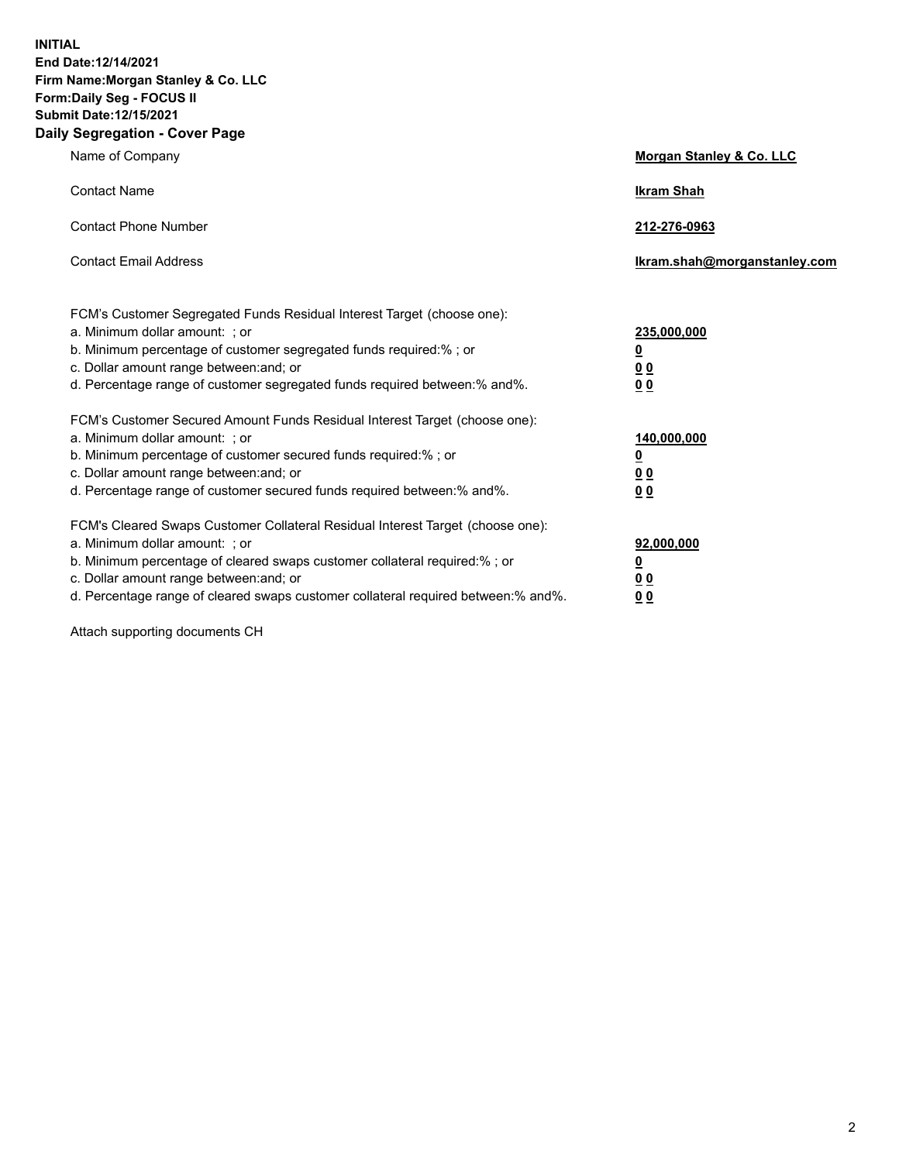**INITIAL End Date:12/14/2021 Firm Name:Morgan Stanley & Co. LLC Form:Daily Seg - FOCUS II Submit Date:12/15/2021 Daily Segregation - Cover Page**

| Name of Company                                                                                                                                                                                                                                                                                                               | Morgan Stanley & Co. LLC                               |
|-------------------------------------------------------------------------------------------------------------------------------------------------------------------------------------------------------------------------------------------------------------------------------------------------------------------------------|--------------------------------------------------------|
| <b>Contact Name</b>                                                                                                                                                                                                                                                                                                           | <b>Ikram Shah</b>                                      |
| <b>Contact Phone Number</b>                                                                                                                                                                                                                                                                                                   | 212-276-0963                                           |
| <b>Contact Email Address</b>                                                                                                                                                                                                                                                                                                  | Ikram.shah@morganstanley.com                           |
| FCM's Customer Segregated Funds Residual Interest Target (choose one):<br>a. Minimum dollar amount: ; or<br>b. Minimum percentage of customer segregated funds required:% ; or<br>c. Dollar amount range between: and; or<br>d. Percentage range of customer segregated funds required between:% and%.                        | 235,000,000<br><u>0</u><br><u>00</u><br>0 <sup>0</sup> |
| FCM's Customer Secured Amount Funds Residual Interest Target (choose one):<br>a. Minimum dollar amount: ; or<br>b. Minimum percentage of customer secured funds required:%; or<br>c. Dollar amount range between: and; or<br>d. Percentage range of customer secured funds required between:% and%.                           | 140,000,000<br><u>0</u><br><u>00</u><br>0 <sub>0</sub> |
| FCM's Cleared Swaps Customer Collateral Residual Interest Target (choose one):<br>a. Minimum dollar amount: ; or<br>b. Minimum percentage of cleared swaps customer collateral required:%; or<br>c. Dollar amount range between: and; or<br>d. Percentage range of cleared swaps customer collateral required between:% and%. | 92,000,000<br><u>0</u><br>0 Q<br>00                    |

Attach supporting documents CH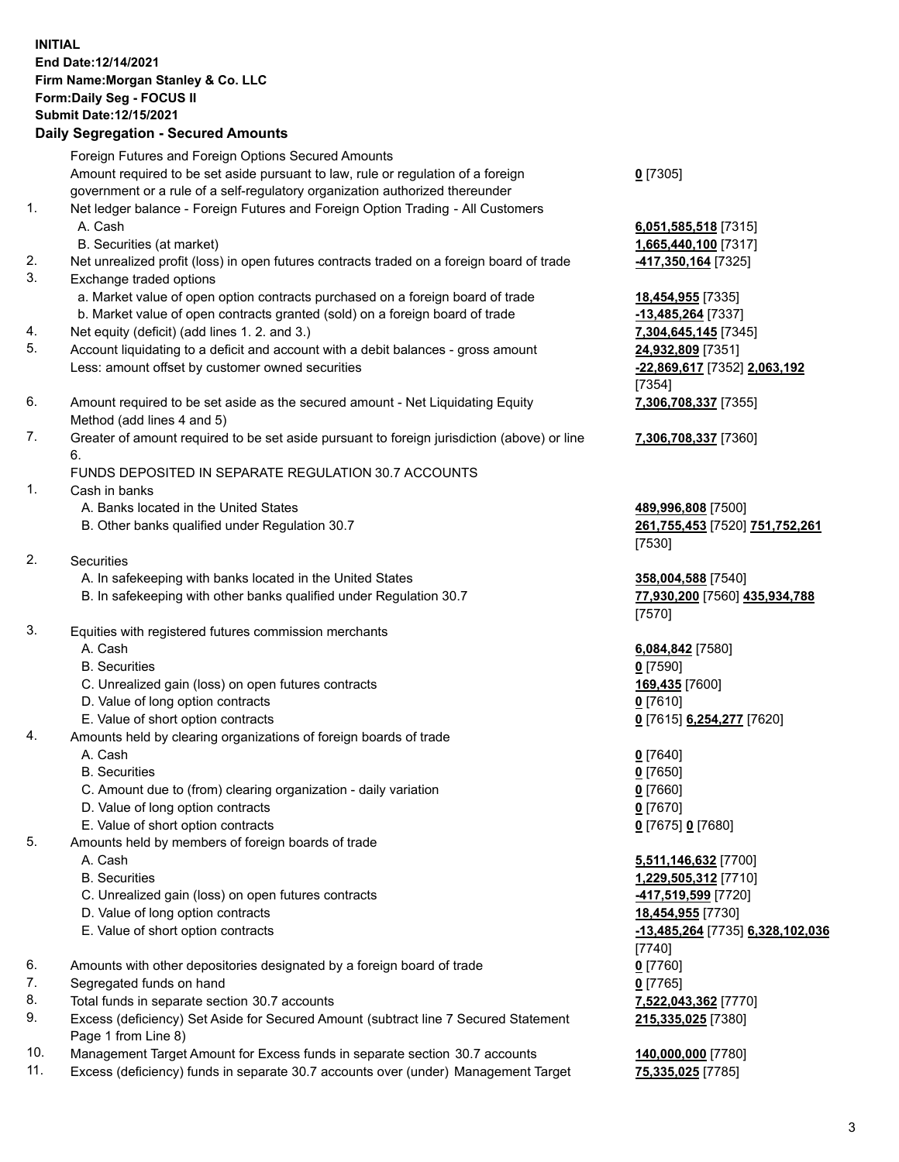## **INITIAL End Date:12/14/2021 Firm Name:Morgan Stanley & Co. LLC Form:Daily Seg - FOCUS II Submit Date:12/15/2021**

## **Daily Segregation - Secured Amounts**

Foreign Futures and Foreign Options Secured Amounts Amount required to be set aside pursuant to law, rule or regulation of a foreign government or a rule of a self-regulatory organization authorized thereunder 1. Net ledger balance - Foreign Futures and Foreign Option Trading - All Customers A. Cash **6,051,585,518** [7315] B. Securities (at market) **1,665,440,100** [7317] 2. Net unrealized profit (loss) in open futures contracts traded on a foreign board of trade **-417,350,164** [7325] 3. Exchange traded options a. Market value of open option contracts purchased on a foreign board of trade **18,454,955** [7335] b. Market value of open contracts granted (sold) on a foreign board of trade **-13,485,264** [7337] 4. Net equity (deficit) (add lines 1. 2. and 3.) **7,304,645,145** [7345] 5. Account liquidating to a deficit and account with a debit balances - gross amount **24,932,809** [7351] Less: amount offset by customer owned securities **-22,869,617** [7352] **2,063,192**

- 6. Amount required to be set aside as the secured amount Net Liquidating Equity Method (add lines 4 and 5)
- 7. Greater of amount required to be set aside pursuant to foreign jurisdiction (above) or line 6.

## FUNDS DEPOSITED IN SEPARATE REGULATION 30.7 ACCOUNTS

- 1. Cash in banks
	- A. Banks located in the United States **489,996,808** [7500]
	- B. Other banks qualified under Regulation 30.7 **261,755,453** [7520] **751,752,261**
- 2. Securities
	- A. In safekeeping with banks located in the United States **358,004,588** [7540]
	- B. In safekeeping with other banks qualified under Regulation 30.7 **77,930,200** [7560] **435,934,788**
- 3. Equities with registered futures commission merchants
	-
	- B. Securities **0** [7590]
	- C. Unrealized gain (loss) on open futures contracts **169,435** [7600]
	- D. Value of long option contracts **0** [7610]
	- E. Value of short option contracts **0** [7615] **6,254,277** [7620]
- 4. Amounts held by clearing organizations of foreign boards of trade
	- A. Cash **0** [7640]
	- B. Securities **0** [7650]
	- C. Amount due to (from) clearing organization daily variation **0** [7660]
	- D. Value of long option contracts **0** [7670]
	- E. Value of short option contracts **0** [7675] **0** [7680]
- 5. Amounts held by members of foreign boards of trade
	-
	-
	- C. Unrealized gain (loss) on open futures contracts **-417,519,599** [7720]
	- D. Value of long option contracts **18,454,955** [7730]
	-
- 6. Amounts with other depositories designated by a foreign board of trade **0** [7760]
- 7. Segregated funds on hand **0** [7765]
- 8. Total funds in separate section 30.7 accounts **7,522,043,362** [7770]
- 9. Excess (deficiency) Set Aside for Secured Amount (subtract line 7 Secured Statement Page 1 from Line 8)
- 10. Management Target Amount for Excess funds in separate section 30.7 accounts **140,000,000** [7780]
- 11. Excess (deficiency) funds in separate 30.7 accounts over (under) Management Target **75,335,025** [7785]

**0** [7305]

[7354] **7,306,708,337** [7355]

**7,306,708,337** [7360]

[7530]

[7570]

A. Cash **6,084,842** [7580]

 A. Cash **5,511,146,632** [7700] B. Securities **1,229,505,312** [7710] E. Value of short option contracts **-13,485,264** [7735] **6,328,102,036** [7740] **215,335,025** [7380]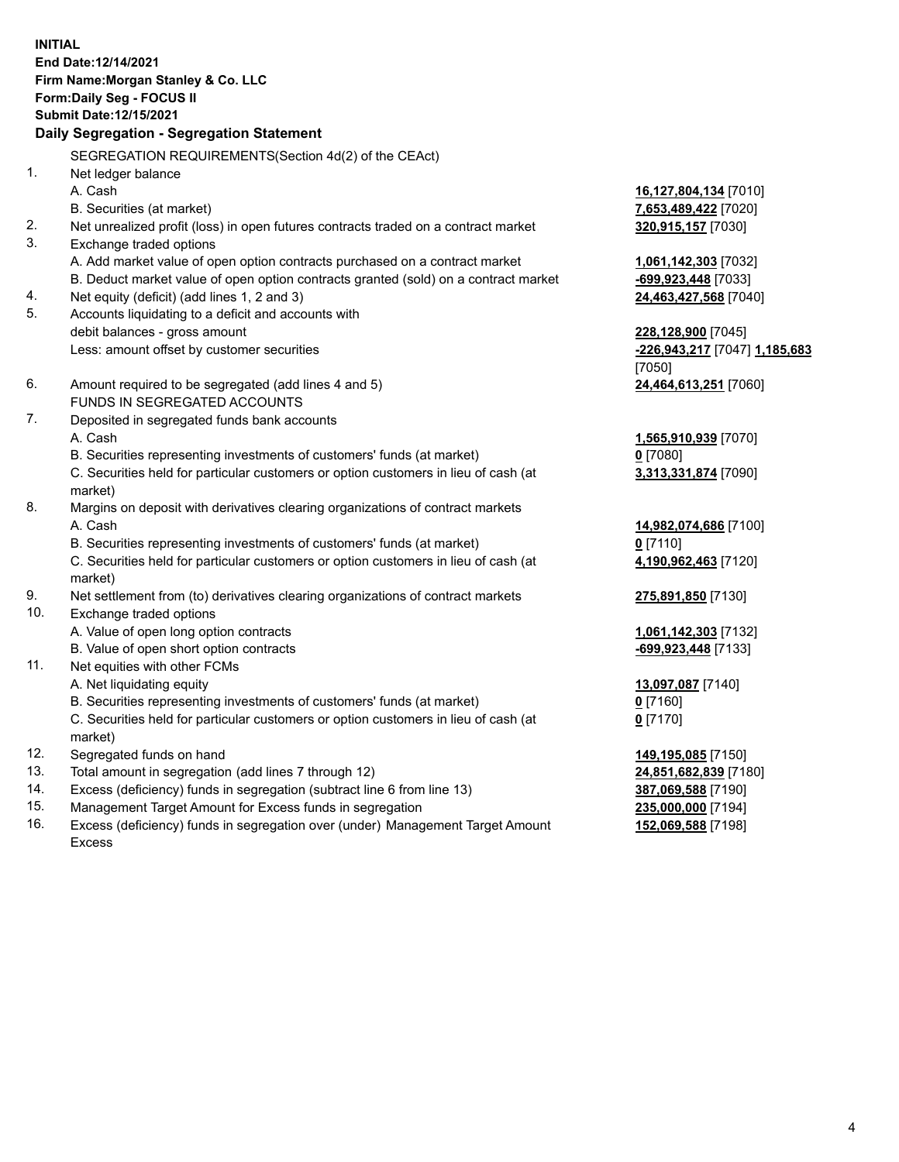**INITIAL End Date:12/14/2021 Firm Name:Morgan Stanley & Co. LLC Form:Daily Seg - FOCUS II Submit Date:12/15/2021 Daily Segregation - Segregation Statement** SEGREGATION REQUIREMENTS(Section 4d(2) of the CEAct) 1. Net ledger balance A. Cash **16,127,804,134** [7010] B. Securities (at market) **7,653,489,422** [7020] 2. Net unrealized profit (loss) in open futures contracts traded on a contract market **320,915,157** [7030] 3. Exchange traded options A. Add market value of open option contracts purchased on a contract market **1,061,142,303** [7032] B. Deduct market value of open option contracts granted (sold) on a contract market **-699,923,448** [7033] 4. Net equity (deficit) (add lines 1, 2 and 3) **24,463,427,568** [7040] 5. Accounts liquidating to a deficit and accounts with debit balances - gross amount **228,128,900** [7045] Less: amount offset by customer securities **-226,943,217** [7047] **1,185,683** [7050] 6. Amount required to be segregated (add lines 4 and 5) **24,464,613,251** [7060] FUNDS IN SEGREGATED ACCOUNTS 7. Deposited in segregated funds bank accounts A. Cash **1,565,910,939** [7070] B. Securities representing investments of customers' funds (at market) **0** [7080] C. Securities held for particular customers or option customers in lieu of cash (at market) **3,313,331,874** [7090] 8. Margins on deposit with derivatives clearing organizations of contract markets A. Cash **14,982,074,686** [7100] B. Securities representing investments of customers' funds (at market) **0** [7110] C. Securities held for particular customers or option customers in lieu of cash (at market) **4,190,962,463** [7120] 9. Net settlement from (to) derivatives clearing organizations of contract markets **275,891,850** [7130] 10. Exchange traded options A. Value of open long option contracts **1,061,142,303** [7132] B. Value of open short option contracts **-699,923,448** [7133] 11. Net equities with other FCMs A. Net liquidating equity **13,097,087** [7140] B. Securities representing investments of customers' funds (at market) **0** [7160] C. Securities held for particular customers or option customers in lieu of cash (at market) **0** [7170] 12. Segregated funds on hand **149,195,085** [7150] 13. Total amount in segregation (add lines 7 through 12) **24,851,682,839** [7180] 14. Excess (deficiency) funds in segregation (subtract line 6 from line 13) **387,069,588** [7190] 15. Management Target Amount for Excess funds in segregation **235,000,000** [7194]

16. Excess (deficiency) funds in segregation over (under) Management Target Amount Excess

**152,069,588** [7198]